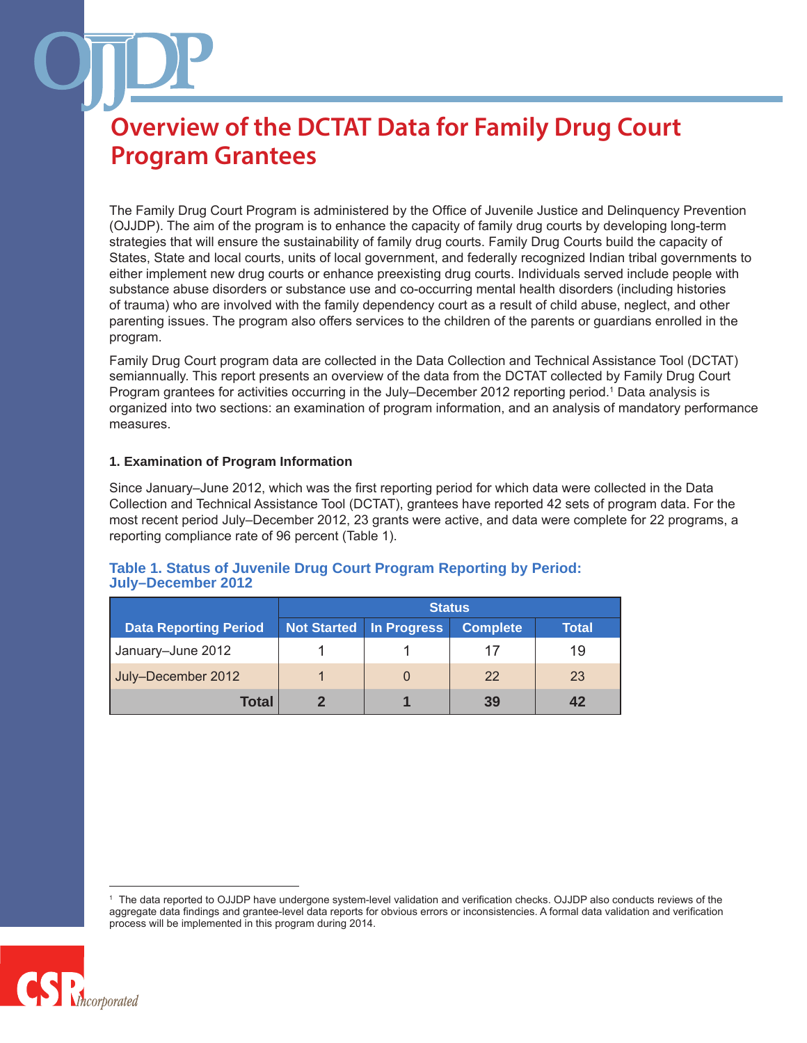The Family Drug Court Program is administered by the Office of Juvenile Justice and Delinquency Prevention (OJJDP). The aim of the program is to enhance the capacity of family drug courts by developing long-term strategies that will ensure the sustainability of family drug courts. Family Drug Courts build the capacity of States, State and local courts, units of local government, and federally recognized Indian tribal governments to either implement new drug courts or enhance preexisting drug courts. Individuals served include people with substance abuse disorders or substance use and co-occurring mental health disorders (including histories of trauma) who are involved with the family dependency court as a result of child abuse, neglect, and other parenting issues. The program also offers services to the children of the parents or guardians enrolled in the program.

Family Drug Court program data are collected in the Data Collection and Technical Assistance Tool (DCTAT) semiannually. This report presents an overview of the data from the DCTAT collected by Family Drug Court Program grantees for activities occurring in the July–December 2012 reporting period.<sup>1</sup> Data analysis is organized into two sections: an examination of program information, and an analysis of mandatory performance measures.

#### **1. Examination of Program Information**

Since January–June 2012, which was the first reporting period for which data were collected in the Data Collection and Technical Assistance Tool (DCTAT), grantees have reported 42 sets of program data. For the most recent period July–December 2012, 23 grants were active, and data were complete for 22 programs, a reporting compliance rate of 96 percent (Table 1).

**Table 1. Status of Juvenile Drug Court Program Reporting by Period:**

|                              | <b>Status</b> |                    |                 |       |
|------------------------------|---------------|--------------------|-----------------|-------|
| <b>Data Reporting Period</b> | Not Started   | <b>In Progress</b> | <b>Complete</b> | Total |
| January-June 2012            |               |                    | 17              | 19    |
| July-December 2012           |               | $\Omega$           | 22              | 23    |
| Total                        |               |                    | 39              | 42    |

<sup>1</sup> The data reported to OJJDP have undergone system-level validation and verification checks. OJJDP also conducts reviews of the aggregate data findings and grantee-level data reports for obvious errors or inconsistencies. A formal data validation and verification process will be implemented in this program during 2014.

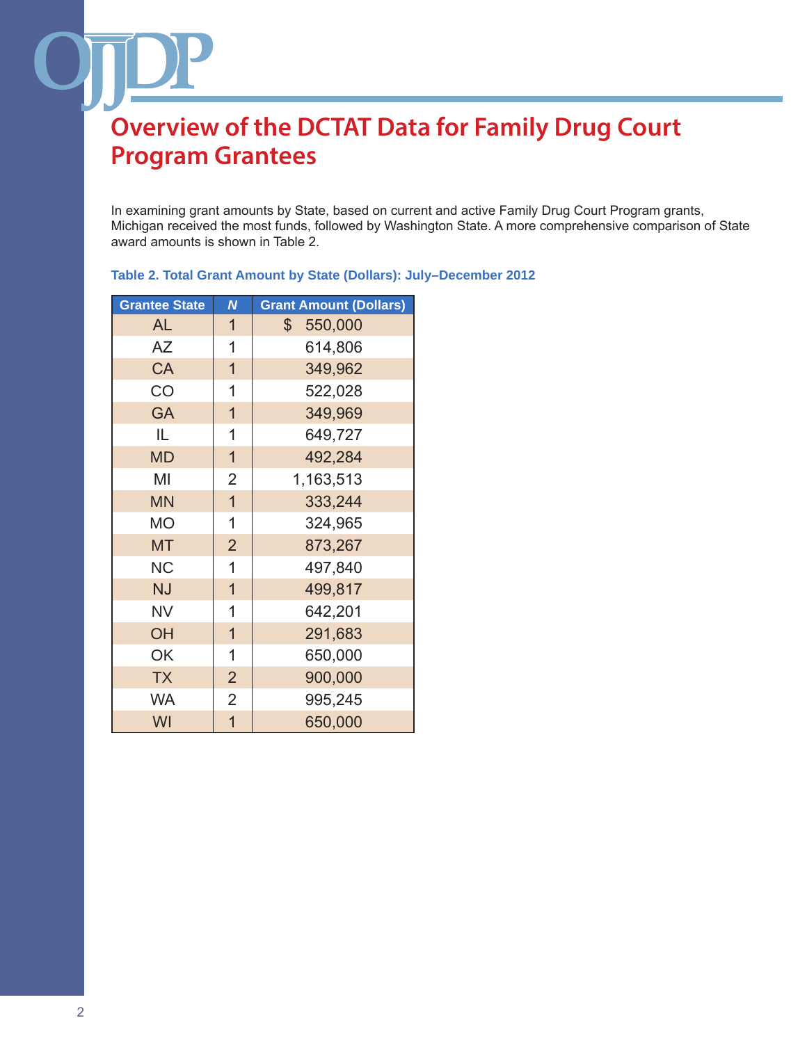In examining grant amounts by State, based on current and active Family Drug Court Program grants, Michigan received the most funds, followed by Washington State. A more comprehensive comparison of State award amounts is shown in Table 2.

| <b>Grantee State</b> | N              | <b>Grant Amount (Dollars)</b> |
|----------------------|----------------|-------------------------------|
| <b>AL</b>            | $\mathbf 1$    | 550,000<br>$\mathbb{S}^-$     |
| AΖ                   | $\mathbf 1$    | 614,806                       |
| CA                   | $\overline{1}$ | 349,962                       |
| CO                   | 1              | 522,028                       |
| <b>GA</b>            | $\overline{1}$ | 349,969                       |
| IL.                  | 1              | 649,727                       |
| <b>MD</b>            | $\overline{1}$ | 492,284                       |
| MI                   | $\overline{2}$ | 1,163,513                     |
| <b>MN</b>            | $\mathbf{1}$   | 333,244                       |
| <b>MO</b>            | 1              | 324,965                       |
| <b>MT</b>            | $\overline{2}$ | 873,267                       |
| <b>NC</b>            | 1              | 497,840                       |
| <b>NJ</b>            | $\overline{1}$ | 499,817                       |
| <b>NV</b>            | $\mathbf 1$    | 642,201                       |
| OH                   | $\overline{1}$ | 291,683                       |
| OK                   | 1              | 650,000                       |
| <b>TX</b>            | $\overline{2}$ | 900,000                       |
| <b>WA</b>            | $\overline{2}$ | 995,245                       |
| WI                   | $\overline{1}$ | 650,000                       |

**Table 2. Total Grant Amount by State (Dollars): July–December 2012**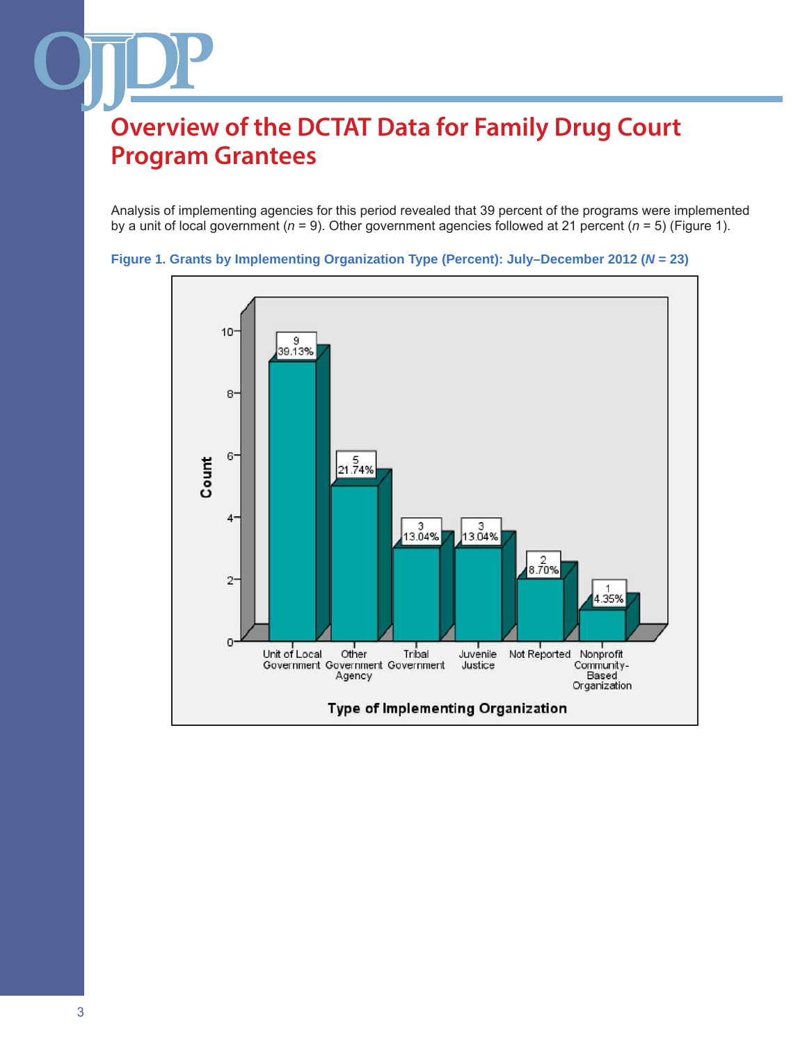Analysis of implementing agencies for this period revealed that 39 percent of the programs were implemented by a unit of local government (*n* = 9). Other government agencies followed at 21 percent (*n* = 5) (Figure 1).



**Figure 1. Grants by Implementing Organization Type (Percent): July–December 2012 (***N* **= 23)**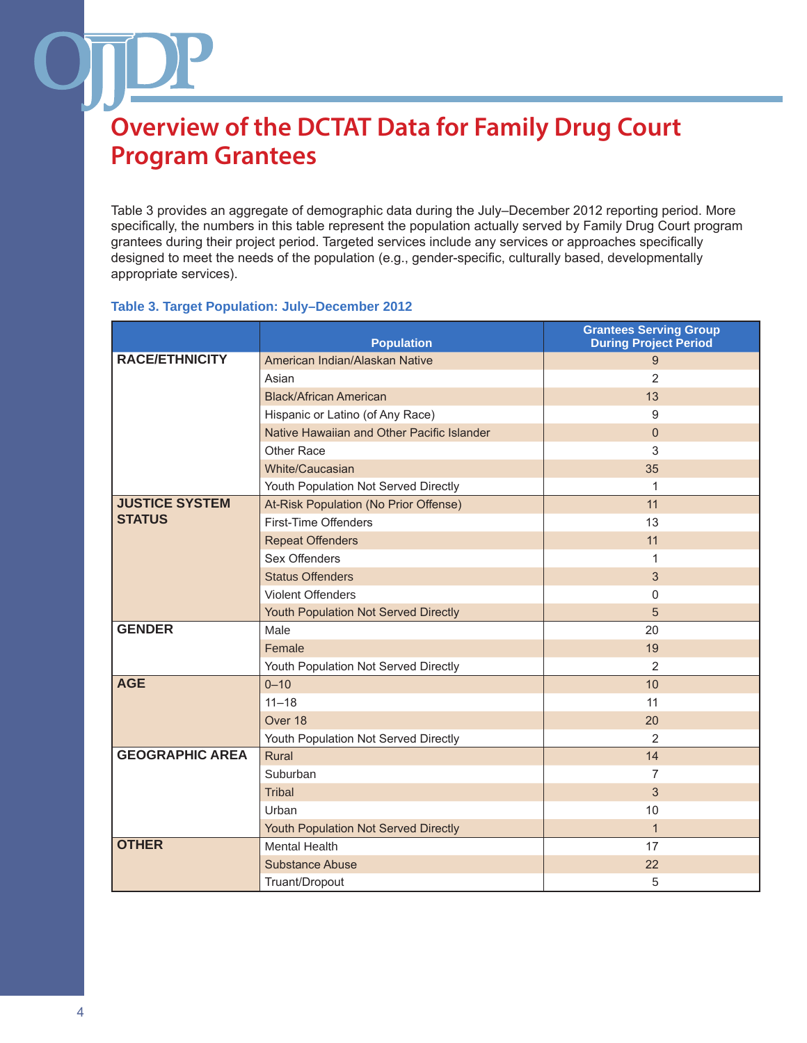Table 3 provides an aggregate of demographic data during the July–December 2012 reporting period. More specifically, the numbers in this table represent the population actually served by Family Drug Court program grantees during their project period. Targeted services include any services or approaches specifically designed to meet the needs of the population (e.g., gender-specific, culturally based, developmentally appropriate services).

#### **Table 3. Target Population: July–December 2012**

|                        | <b>Population</b>                          | <b>Grantees Serving Group</b><br><b>During Project Period</b> |
|------------------------|--------------------------------------------|---------------------------------------------------------------|
| <b>RACE/ETHNICITY</b>  | American Indian/Alaskan Native             | 9                                                             |
|                        | Asian                                      | $\overline{2}$                                                |
|                        | <b>Black/African American</b>              | 13                                                            |
|                        | Hispanic or Latino (of Any Race)           | 9                                                             |
|                        | Native Hawaiian and Other Pacific Islander | $\Omega$                                                      |
|                        | Other Race                                 | 3                                                             |
|                        | White/Caucasian                            | 35                                                            |
|                        | Youth Population Not Served Directly       | 1                                                             |
| <b>JUSTICE SYSTEM</b>  | At-Risk Population (No Prior Offense)      | 11                                                            |
| <b>STATUS</b>          | First-Time Offenders                       | 13                                                            |
|                        | <b>Repeat Offenders</b>                    | 11                                                            |
|                        | Sex Offenders                              | 1                                                             |
|                        | <b>Status Offenders</b>                    | 3                                                             |
|                        | <b>Violent Offenders</b>                   | 0                                                             |
|                        | Youth Population Not Served Directly       | 5                                                             |
| <b>GENDER</b>          | Male                                       | 20                                                            |
|                        | Female                                     | 19                                                            |
|                        | Youth Population Not Served Directly       | $\overline{2}$                                                |
| <b>AGE</b>             | $0 - 10$                                   | 10                                                            |
|                        | $11 - 18$                                  | 11                                                            |
|                        | Over 18                                    | 20                                                            |
|                        | Youth Population Not Served Directly       | $\overline{2}$                                                |
| <b>GEOGRAPHIC AREA</b> | Rural                                      | 14                                                            |
|                        | Suburban                                   | 7                                                             |
|                        | <b>Tribal</b>                              | 3                                                             |
|                        | Urban                                      | 10                                                            |
|                        | Youth Population Not Served Directly       | $\mathbf{1}$                                                  |
| <b>OTHER</b>           | <b>Mental Health</b>                       | 17                                                            |
|                        | <b>Substance Abuse</b>                     | 22                                                            |
|                        | Truant/Dropout                             | 5                                                             |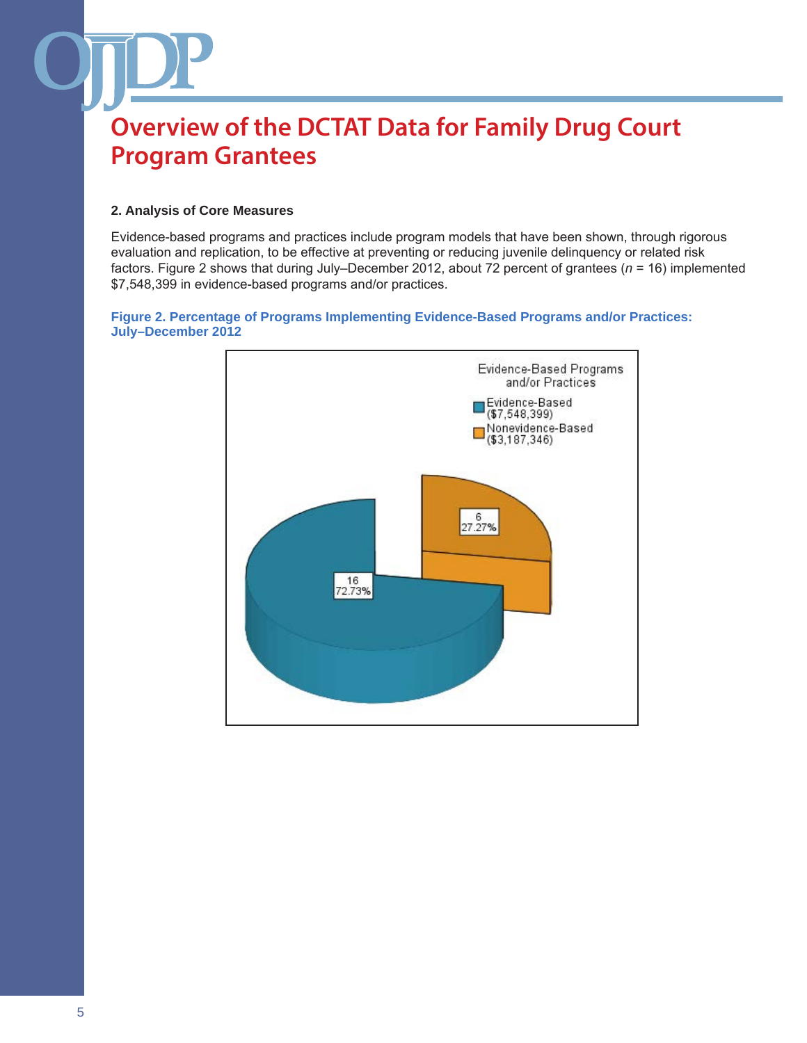#### **2. Analysis of Core Measures**

Evidence-based programs and practices include program models that have been shown, through rigorous evaluation and replication, to be effective at preventing or reducing juvenile delinquency or related risk factors. Figure 2 shows that during July–December 2012, about 72 percent of grantees (*n* = 16) implemented \$7,548,399 in evidence-based programs and/or practices.

#### **Figure 2. Percentage of Programs Implementing Evidence-Based Programs and/or Practices: July–December 2012**

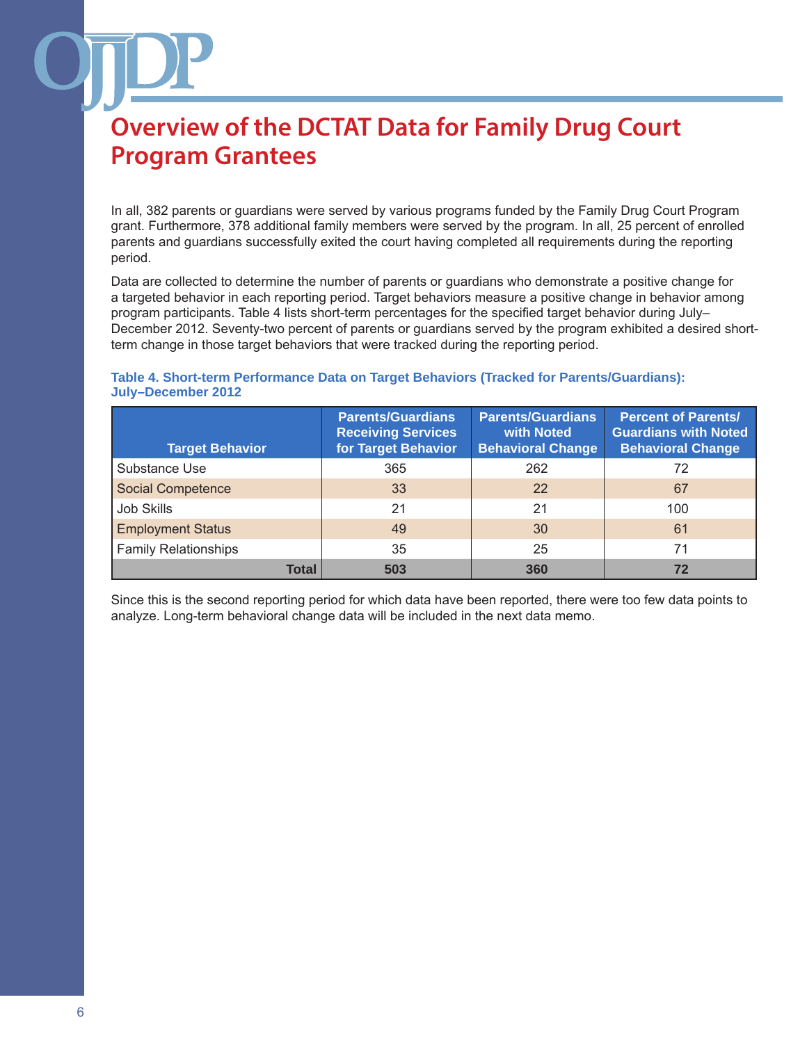In all, 382 parents or guardians were served by various programs funded by the Family Drug Court Program grant. Furthermore, 378 additional family members were served by the program. In all, 25 percent of enrolled parents and guardians successfully exited the court having completed all requirements during the reporting period.

Data are collected to determine the number of parents or guardians who demonstrate a positive change for a targeted behavior in each reporting period. Target behaviors measure a positive change in behavior among program participants. Table 4 lists short-term percentages for the specified target behavior during July– December 2012. Seventy-two percent of parents or guardians served by the program exhibited a desired shortterm change in those target behaviors that were tracked during the reporting period.

#### **Table 4. Short-term Performance Data on Target Behaviors (Tracked for Parents/Guardians): July–December 2012**

| <b>Target Behavior</b>      | <b>Parents/Guardians</b><br><b>Receiving Services</b><br>for Target Behavior | <b>Parents/Guardians</b><br>with Noted<br><b>Behavioral Change</b> | <b>Percent of Parents/</b><br><b>Guardians with Noted</b><br><b>Behavioral Change</b> |
|-----------------------------|------------------------------------------------------------------------------|--------------------------------------------------------------------|---------------------------------------------------------------------------------------|
| Substance Use               | 365                                                                          | 262                                                                | 72                                                                                    |
| <b>Social Competence</b>    | 33                                                                           | 22                                                                 | 67                                                                                    |
| <b>Job Skills</b>           | 21                                                                           | 21                                                                 | 100                                                                                   |
| <b>Employment Status</b>    | 49                                                                           | 30                                                                 | 61                                                                                    |
| <b>Family Relationships</b> | 35                                                                           | 25                                                                 | 71                                                                                    |
| <b>Total</b>                | 503                                                                          | 360                                                                | 72                                                                                    |

Since this is the second reporting period for which data have been reported, there were too few data points to analyze. Long-term behavioral change data will be included in the next data memo.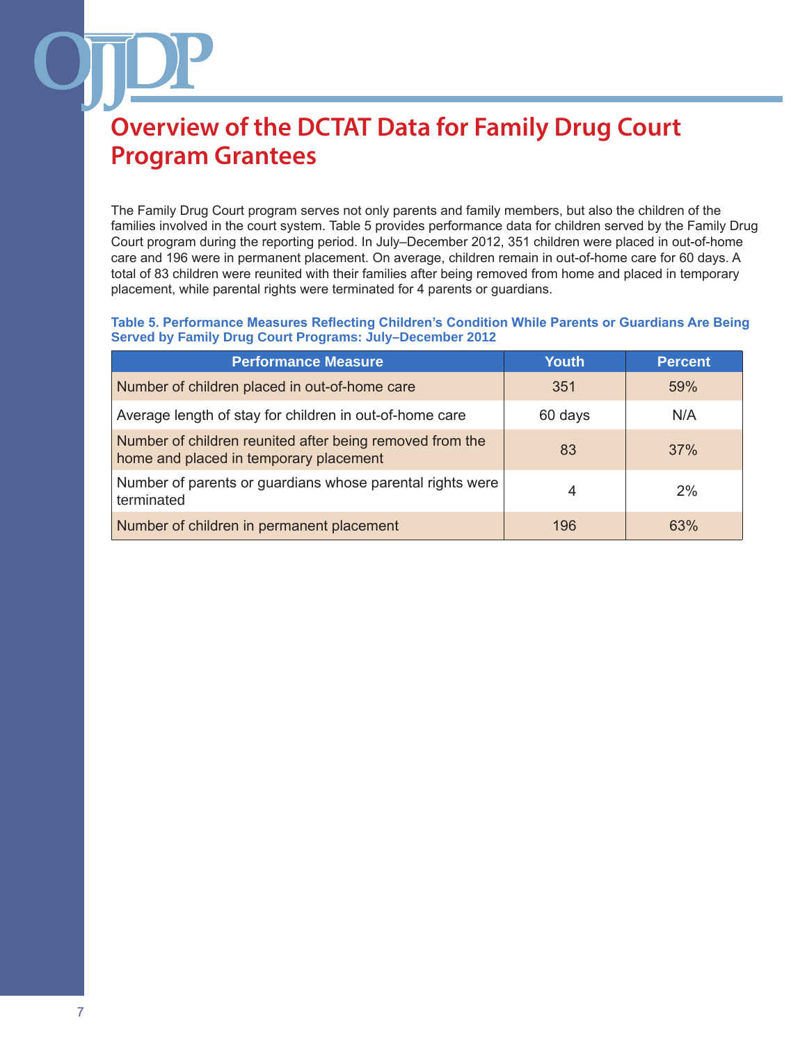The Family Drug Court program serves not only parents and family members, but also the children of the families involved in the court system. Table 5 provides performance data for children served by the Family Drug Court program during the reporting period. In July–December 2012, 351 children were placed in out-of-home care and 196 were in permanent placement. On average, children remain in out-of-home care for 60 days. A total of 83 children were reunited with their families after being removed from home and placed in temporary placement, while parental rights were terminated for 4 parents or guardians.

**Table 5. Performance Measures Reflecting Children's Condition While Parents or Guardians Are Being Served by Family Drug Court Programs: July–December 2012**

| <b>Performance Measure</b>                                                                         | <b>Youth</b> | <b>Percent</b> |
|----------------------------------------------------------------------------------------------------|--------------|----------------|
| Number of children placed in out-of-home care                                                      | 351          | 59%            |
| Average length of stay for children in out-of-home care                                            | 60 days      | N/A            |
| Number of children reunited after being removed from the<br>home and placed in temporary placement | 83           | 37%            |
| Number of parents or guardians whose parental rights were<br>terminated                            | 4            | 2%             |
| Number of children in permanent placement                                                          | 196          | 63%            |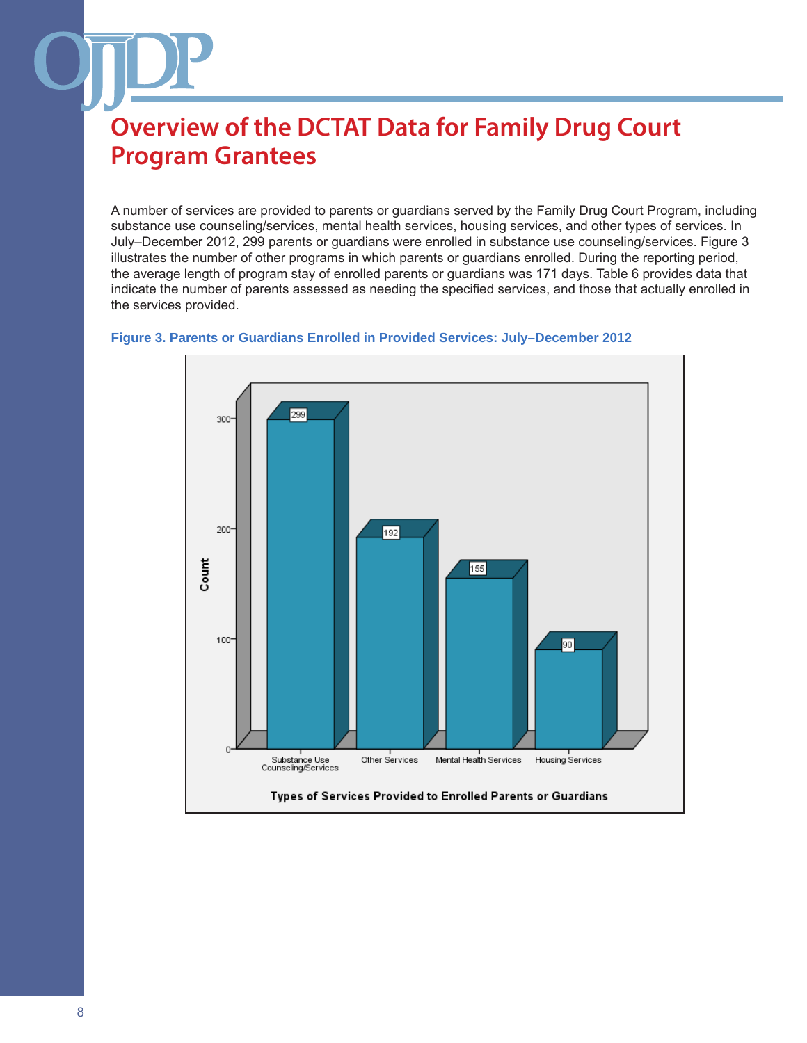A number of services are provided to parents or guardians served by the Family Drug Court Program, including substance use counseling/services, mental health services, housing services, and other types of services. In July–December 2012, 299 parents or guardians were enrolled in substance use counseling/services. Figure 3 illustrates the number of other programs in which parents or guardians enrolled. During the reporting period, the average length of program stay of enrolled parents or guardians was 171 days. Table 6 provides data that indicate the number of parents assessed as needing the specified services, and those that actually enrolled in the services provided.



#### **Figure 3. Parents or Guardians Enrolled in Provided Services: July–December 2012**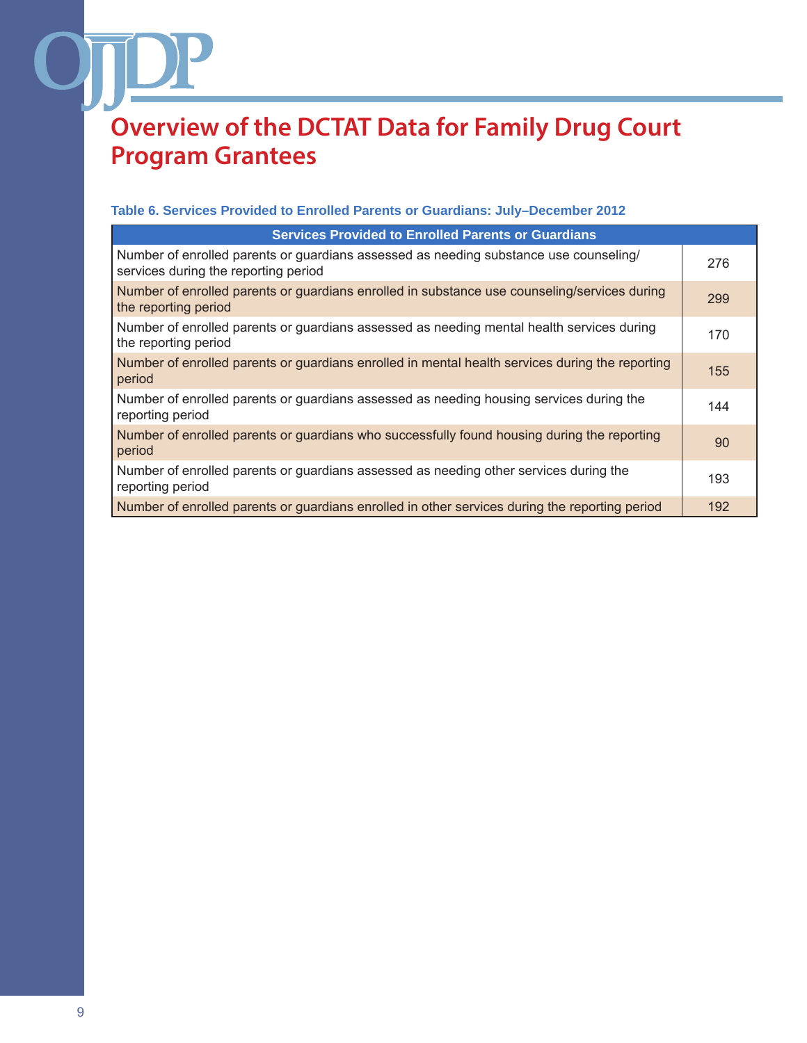#### **Table 6. Services Provided to Enrolled Parents or Guardians: July–December 2012**

| <b>Services Provided to Enrolled Parents or Guardians</b>                                                                     |     |
|-------------------------------------------------------------------------------------------------------------------------------|-----|
| Number of enrolled parents or guardians assessed as needing substance use counseling/<br>services during the reporting period | 276 |
| Number of enrolled parents or guardians enrolled in substance use counseling/services during<br>the reporting period          | 299 |
| Number of enrolled parents or guardians assessed as needing mental health services during<br>the reporting period             | 170 |
| Number of enrolled parents or guardians enrolled in mental health services during the reporting<br>period                     | 155 |
| Number of enrolled parents or guardians assessed as needing housing services during the<br>reporting period                   | 144 |
| Number of enrolled parents or guardians who successfully found housing during the reporting<br>period                         | 90  |
| Number of enrolled parents or guardians assessed as needing other services during the<br>reporting period                     | 193 |
| Number of enrolled parents or guardians enrolled in other services during the reporting period                                | 192 |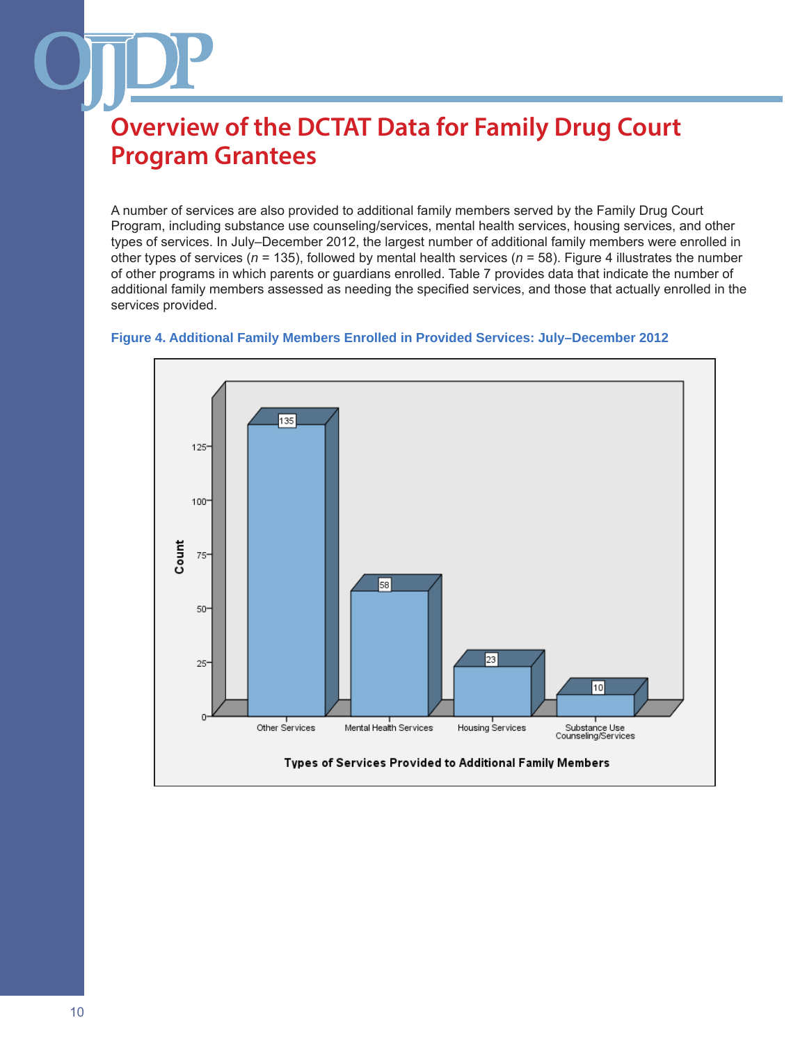A number of services are also provided to additional family members served by the Family Drug Court Program, including substance use counseling/services, mental health services, housing services, and other types of services. In July–December 2012, the largest number of additional family members were enrolled in other types of services (*n* = 135), followed by mental health services (*n* = 58). Figure 4 illustrates the number of other programs in which parents or guardians enrolled. Table 7 provides data that indicate the number of additional family members assessed as needing the specified services, and those that actually enrolled in the services provided.



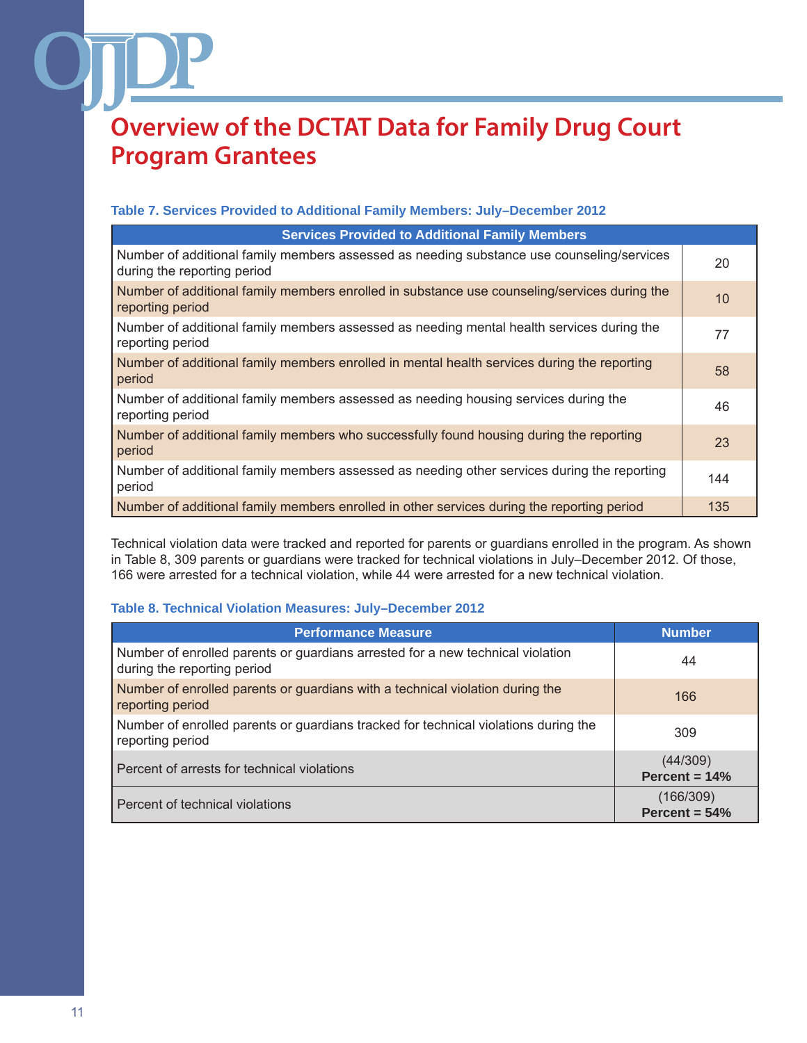#### **Table 7. Services Provided to Additional Family Members: July–December 2012**

| <b>Services Provided to Additional Family Members</b>                                                                    |     |  |
|--------------------------------------------------------------------------------------------------------------------------|-----|--|
| Number of additional family members assessed as needing substance use counseling/services<br>during the reporting period | 20  |  |
| Number of additional family members enrolled in substance use counseling/services during the<br>reporting period         | 10  |  |
| Number of additional family members assessed as needing mental health services during the<br>reporting period            | 77  |  |
| Number of additional family members enrolled in mental health services during the reporting<br>period                    | 58  |  |
| Number of additional family members assessed as needing housing services during the<br>reporting period                  | 46  |  |
| Number of additional family members who successfully found housing during the reporting<br>period                        | 23  |  |
| Number of additional family members assessed as needing other services during the reporting<br>period                    | 144 |  |
| Number of additional family members enrolled in other services during the reporting period                               | 135 |  |

Technical violation data were tracked and reported for parents or guardians enrolled in the program. As shown in Table 8, 309 parents or guardians were tracked for technical violations in July–December 2012. Of those, 166 were arrested for a technical violation, while 44 were arrested for a new technical violation.

#### **Table 8. Technical Violation Measures: July–December 2012**

| <b>Performance Measure</b>                                                                                    | <b>Number</b>                |
|---------------------------------------------------------------------------------------------------------------|------------------------------|
| Number of enrolled parents or guardians arrested for a new technical violation<br>during the reporting period | 44                           |
| Number of enrolled parents or guardians with a technical violation during the<br>reporting period             | 166                          |
| Number of enrolled parents or guardians tracked for technical violations during the<br>reporting period       | 309                          |
| Percent of arrests for technical violations                                                                   | (44/309)<br>Percent = $14%$  |
| Percent of technical violations                                                                               | (166/309)<br>Percent = $54%$ |